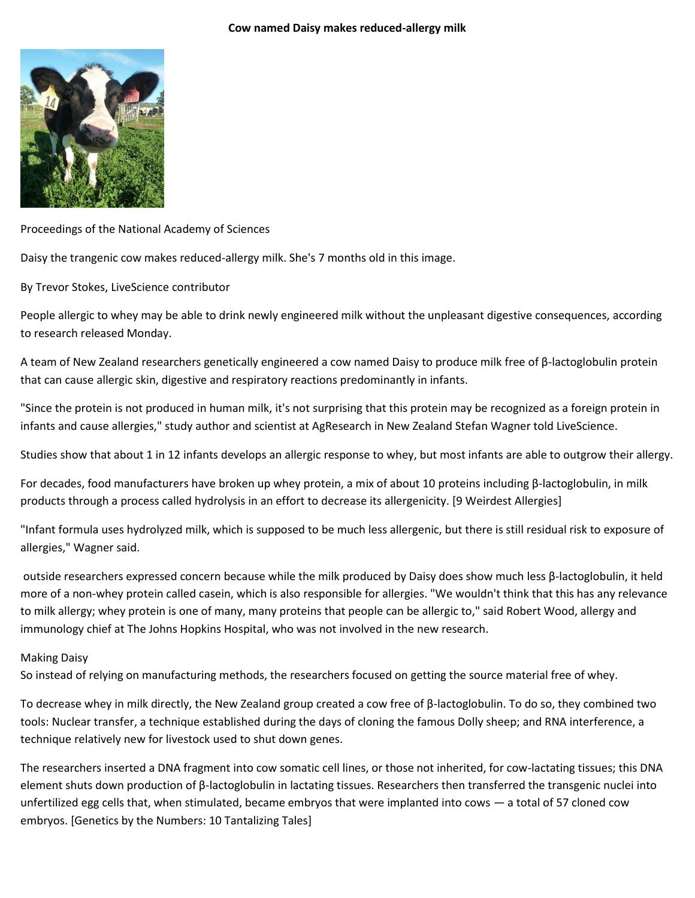## **Cow named Daisy makes reduced-allergy milk**



Proceedings of the National Academy of Sciences

Daisy the trangenic cow makes reduced-allergy milk. She's 7 months old in this image.

By Trevor Stokes, [LiveScience](http://www.livescience.com/) contributor

People allergic to whey may be able to drink newly engineered milk without the unpleasant digestive consequences, according to research released Monday.

A team of New Zealand researchers genetically engineered a cow named Daisy to produce milk free of β-lactoglobulin protein that can cause allergic skin, digestive and respiratory reactions predominantly in infants.

"Since the protein is not produced i[n human milk,](http://www.myhealthnewsdaily.com/1451-milk-cow-goat-rice-almond-soy-nutrition-comparison.html) it's not surprising that this protein may be recognized as a foreign protein in infants and cause allergies," study author and scientist at AgResearch in New Zealand Stefan Wagner told LiveScience.

Studies show that about 1 in 12 infants develops [an allergic response](http://www.livescience.com/8268-peanut-allergy-cases-triple-10-years.html) to whey, but most infants are able to outgrow their allergy.

For decades, food manufacturers have broken up whey protein, a mix of about 10 proteins including β-lactoglobulin, in milk products through a process called hydrolysis in an effort to decrease its allergenicity. [\[9 Weirdest Allergies\]](http://www.myhealthnewsdaily.com/952-nine-weirdest-allergies-110215.html)

"Infant formula uses hydrolyzed milk, which is supposed to be much less allergenic, but there is still residual risk to exposure of allergies," Wagner said.

outside researchers expressed concern because while the milk produced by Daisy does show much less β-lactoglobulin, it held more of a non-whey protein called casein, which is also responsible for allergies. "We wouldn't think that this has any relevance to milk allergy; whey protein is one of many, many proteins that people can be allergic to," said Robert Wood, allergy and immunology chief at The Johns Hopkins Hospital, who was not involved in the new research.

## Making Daisy

So instead of relying on manufacturing methods, the researchers focused on getting the source material free of whey.

To decrease whey in milk directly, the New Zealand group created a cow free of β-lactoglobulin. To do so, they combined two tools: Nuclear transfer, a technique established during the days of cloning [the famous Dolly sheep;](http://www.livescience.com/1603-dolly-scientist-human-stem-cells-animal-eggs.html) and RNA interference, a technique relatively new for livestock used to shut down genes.

The researchers inserted a DNA fragment into cow somatic cell lines, or those not inherited, for cow-lactating tissues; this DNA element shuts down production of β-lactoglobulin in lactating tissues. Researchers then transferred the transgenic nuclei into unfertilized egg cells that, when stimulated, became embryos that were implanted into cows — a total of 57 cloned cow embryos. [\[Genetics by the Numbers: 10 Tantalizing Tales\]](http://www.livescience.com/20873-genetics-numbers-dna-basics-nigms.html)